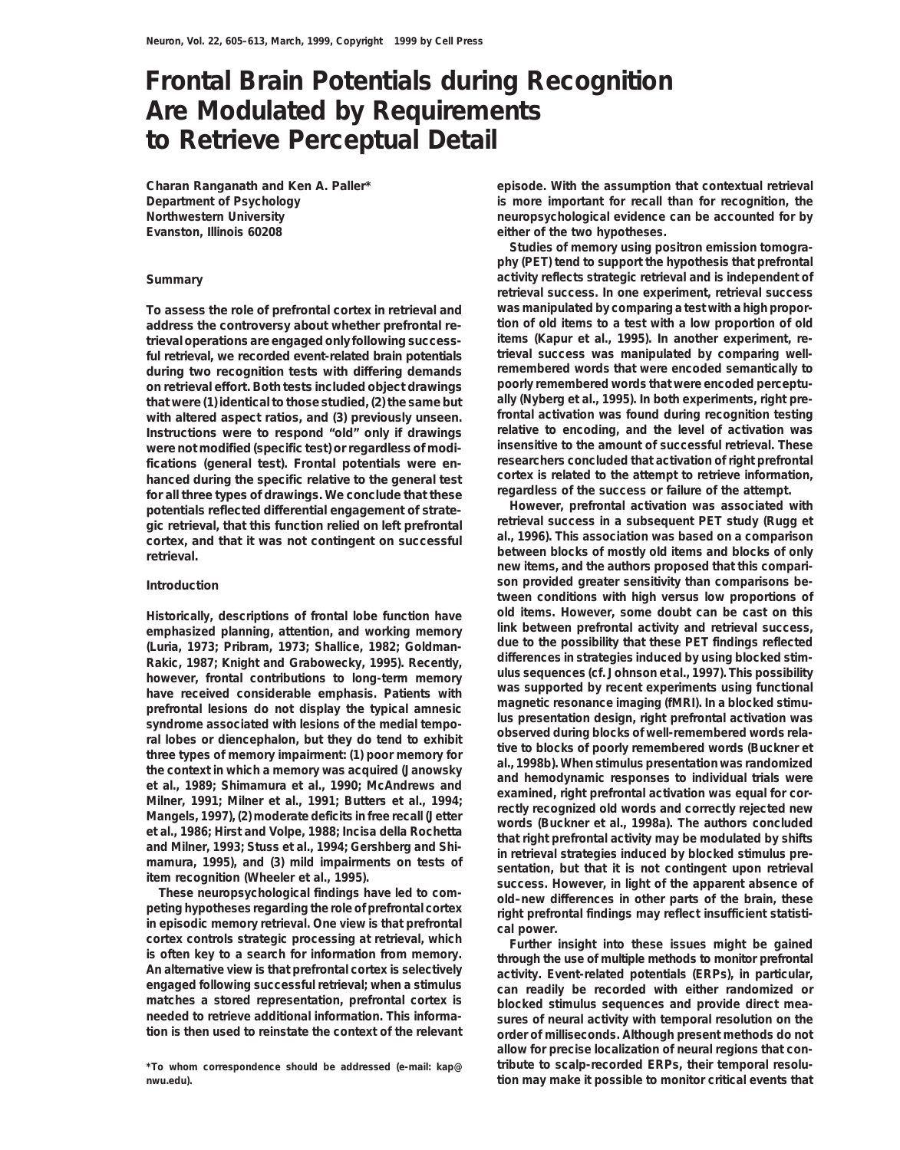# **Frontal Brain Potentials during Recognition Are Modulated by Requirements to Retrieve Perceptual Detail**

**Charan Ranganath and Ken A. Paller\* Department of Psychology Northwestern University Evanston, Illinois 60208**

ful retrieval, we recorded event-related brain potentials Fications (general test). Frontal potentials were en-<br>hanced during the specific relative to the general test<br>for all three types of drawings. We conclude that these<br>potentials reflected differential engagement of strate-<br>

**nwu.edu). tion may make it possible to monitor critical events that**

**episode. With the assumption that contextual retrieval is more important for recall than for recognition, the neuropsychological evidence can be accounted for by either of the two hypotheses.**

**Studies of memory using positron emission tomography (PET) tend to support the hypothesis that prefrontal Summary activity reflects strategic retrieval and is independent of retrieval success. In one experiment, retrieval success To assess the role of prefrontal cortex in retrieval and was manipulated by comparing a test with a high proporaddress the controversy about whether prefrontal re- tion of old items to a test with a low proportion of old items (Kapur et al., 1995). In another experiment, re- trieval operations are engaged only following successduring two recognition tests with differing demands remembered words that were encoded semantically to on retrieval effort. Both tests included object drawings poorly remembered words that were encoded perceptuhat were (1) identical to those studied, (2) the same but** ally (Nyberg et al., 1995). In both experiments, right pre-<br>with altered aspect ratios, and (3) previously unseen frontal activation was found during recognition **with altered aspect ratios, and (3) previously unseen. frontal activation was found during recognition testing relative to encoding, and the level of activation was Instructions were to respond "old" only if drawings Insensitive to the amount of successful retrieval. These** were not modified (specific test) or regardless of modi-<br>**fications** (general test). Frontal potentials were en-<br>researchers concluded that activation of right prefrontal

**new items, and the authors proposed that this comparison provided greater sensitivity than comparisons be- Introduction tween conditions with high versus low proportions of Historically, descriptions of frontal lobe function have old items. However, some doubt can be cast on this** emphasized planning, attention, and working memory<br>
limk between perforbala activity and reflevail success,<br>
(Luria, 1973; Pribarm, 1973; Shallice, 1982; Goldman<br>
Rakic, 1987; Pribarm (Bracknotecky, 1995). Recently,<br>
diffe

**tion is then used to reinstate the context of the relevant order of milliseconds. Although present methods do not allow for precise localization of neural regions that con- \* To whom correspondence should be addressed (e-mail: kap@ tribute to scalp-recorded ERPs, their temporal resolu-**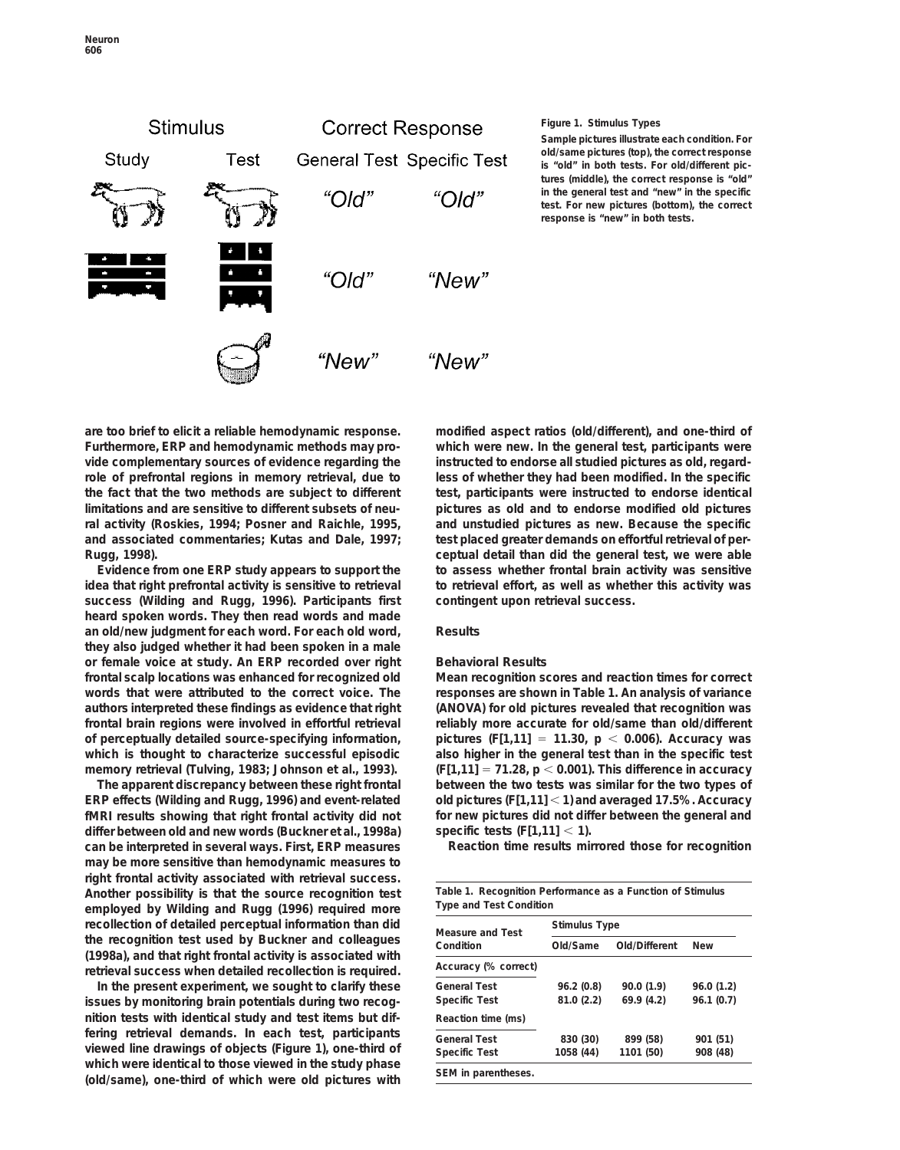

## **Figure 1. Stimulus Types**

**Sample pictures illustrate each condition. For old/same pictures (top), the correct response is "old" in both tests. For old/different pictures (middle), the correct response is "old" in the general test and "new" in the specific test. For new pictures (bottom), the correct response is "new" in both tests.**

**are too brief to elicit a reliable hemodynamic response. modified aspect ratios (old/different), and one-third of Furthermore, ERP and hemodynamic methods may pro- which were new. In the general test, participants were vide complementary sources of evidence regarding the instructed to endorse all studied pictures as old, regardrole of prefrontal regions in memory retrieval, due to less of whether they had been modified. In the specific the fact that the two methods are subject to different test, participants were instructed to endorse identical limitations and are sensitive to different subsets of neu- pictures as old and to endorse modified old pictures ral activity (Roskies, 1994; Posner and Raichle, 1995, and unstudied pictures as new. Because the specific and associated commentaries; Kutas and Dale, 1997; test placed greater demands on effortful retrieval of per-Rugg, 1998). ceptual detail than did the general test, we were able**

**idea that right prefrontal activity is sensitive to retrieval to retrieval effort, as well as whether this activity was success (Wilding and Rugg, 1996). Participants first contingent upon retrieval success. heard spoken words. They then read words and made** an old/new judgment for each word. For each old word, Results **they also judged whether it had been spoken in a male or female voice at study. An ERP recorded over right Behavioral Results frontal scalp locations was enhanced for recognized old Mean recognition scores and reaction times for correct words that were attributed to the correct voice. The responses are shown in Table 1. An analysis of variance authors interpreted these findings as evidence that right (ANOVA) for old pictures revealed that recognition was frontal brain regions were involved in effortful retrieval reliably more accurate for old/same than old/different of perceptually detailed source-specifying information, pictures (F[1,11]** 5 **11.30, p** , **0.006). Accuracy was** which is thought to characterize successful episodic also higher in the general test than in the specific test **memory retrieval (Tulving, 1983; Johnson et al., 1993). (F[1,11]** 5 **71.28, p** , **0.001). This difference in accuracy**

**ERP effects (Wilding and Rugg, 1996) and event-related old pictures (F[1,11]** , **1) and averaged 17.5%. Accuracy fMRI results showing that right frontal activity did not for new pictures did not differ between the general and differ between old and new words (Buckner et al., 1998a)** specific tests (F[1,11]  $\le$  1). **can be interpreted in several ways. First, ERP measures Reaction time results mirrored those for recognition may be more sensitive than hemodynamic measures to right frontal activity associated with retrieval success.** Another possibility is that the source recognition test employed by Wilding and Rugg (1996) required more recollection of detailed perceptual information than did<br>the recognition test used by Buckner and colleagues<br>(1998a), and that right frontal activity is associated with **(1998a), and that right frontal activity is associated with Accuracy (% correct) retrieval success when detailed recollection is required.**

In the present experiment, we sought to clarify these issues by monitoring brain potentials during two recog**nition tests with identical study and test items but dif- Reaction time (ms)** fering retrieval demands. In each test, participants viewed line drawings of objects (Figure 1), one-third of which were identical to those viewed in the study phase<br>
(old/same), one-third of which were old pictures with

**Evidence from one ERP study appears to support the to assess whether frontal brain activity was sensitive**

**The apparent discrepancy between these right frontal between the two tests was similar for the two types of**

| Table 1. Recognition Performance as a Function of Stimulus<br>Type and Test Condition |                        |                        |                        |
|---------------------------------------------------------------------------------------|------------------------|------------------------|------------------------|
| Measure and Test<br>Condition                                                         | <b>Stimulus Type</b>   |                        |                        |
|                                                                                       | Old/Same               | Old/Different          | <b>New</b>             |
| Accuracy (% correct)                                                                  |                        |                        |                        |
| General Test<br>Specific Test                                                         | 96.2(0.8)<br>81.0(2.2) | 90.0(1.9)<br>69.9(4.2) | 96.0(1.2)<br>96.1(0.7) |
| Reaction time (ms)                                                                    |                        |                        |                        |
| General Test<br>Specific Test                                                         | 830 (30)<br>1058 (44)  | 899 (58)<br>1101 (50)  | 901 (51)<br>908 (48)   |
| SEM in parentheses.                                                                   |                        |                        |                        |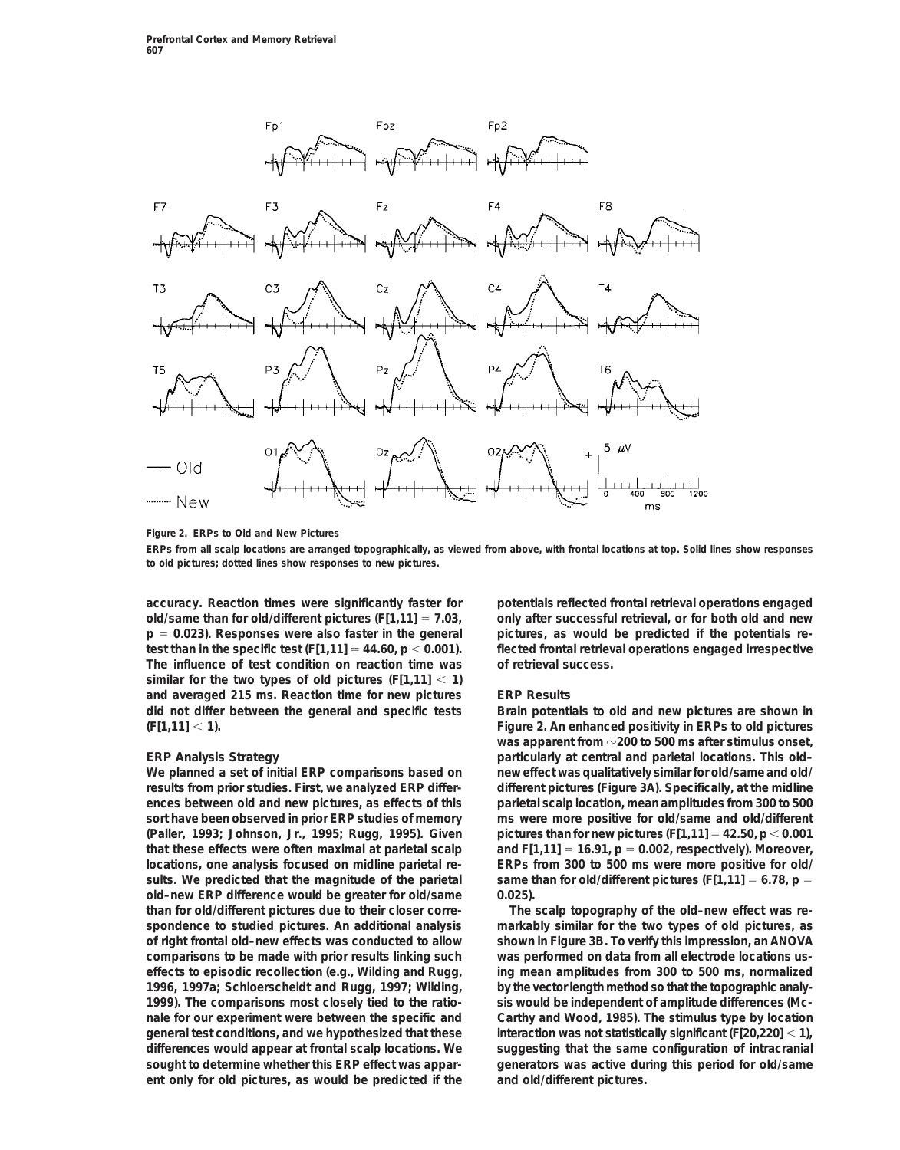

**Figure 2. ERPs to Old and New Pictures**

**ERPs from all scalp locations are arranged topographically, as viewed from above, with frontal locations at top. Solid lines show responses to old pictures; dotted lines show responses to new pictures.**

**p** 5 **0.023). Responses were also faster in the general pictures, as would be predicted if the potentials re**test than in the specific test  $(F[1,11] = 44.60, p < 0.001)$ . **flected frontal retrieval operations engaged irrespective The influence of test condition on reaction time was of retrieval success.** similar for the two types of old pictures  $(F[1,11] < 1)$ **and averaged 215 ms. Reaction time for new pictures ERP Results did not differ between the general and specific tests Brain potentials to old and new pictures are shown in**

We planned a set of initial ERP comparisons based on new effect was qualitatively similar for old/same and old/  $(Paller, 1993; Johnson, Jr., 1995; Rug, 1995). Given *picture* statements that for new pictures  $(F[1,11] = 42.50, p < 0.001$ .$ **that these effects were often maximal at parietal scalp and F[1,11]** 5 **16.91, p** 5 **0.002, respectively). Moreover, locations, one analysis focused on midline parietal re- ERPs from 300 to 500 ms were more positive for old/** sults. We predicted that the magnitude of the parietal same than for old/different pictures ( $F[1,11] = 6.78$ ,  $p =$ **old–new ERP difference would be greater for old/same 0.025). than for old/different pictures due to their closer corre- The scalp topography of the old–new effect was respondence to studied pictures. An additional analysis markably similar for the two types of old pictures, as of right frontal old–new effects was conducted to allow shown in Figure 3B. To verify this impression, an ANOVA comparisons to be made with prior results linking such was performed on data from all electrode locations useffects to episodic recollection (e.g., Wilding and Rugg, ing mean amplitudes from 300 to 500 ms, normalized 1996, 1997a; Schloerscheidt and Rugg, 1997; Wilding, by the vector length method so that the topographic analy-1999). The comparisons most closely tied to the ratio- sis would be independent of amplitude differences (Mcnale for our experiment were between the specific and Carthy and Wood, 1985). The stimulus type by location general test conditions, and we hypothesized that these interaction was not statistically significant (F[20,220]** , **1), differences would appear at frontal scalp locations. We suggesting that the same configuration of intracranial sought to determine whether this ERP effect was appar- generators was active during this period for old/same ent only for old pictures, as would be predicted if the and old/different pictures.**

**accuracy. Reaction times were significantly faster for potentials reflected frontal retrieval operations engaged old/same than for old/different pictures (F[1,11]** 5 **7.03, only after successful retrieval, or for both old and new**

**(F[1,11]** , **1). Figure 2. An enhanced positivity in ERPs to old pictures** was apparent from  $\sim$ 200 to 500 ms after stimulus onset, **ERP Analysis Strategy** *particularly at central and parietal locations. This old–* **results from prior studies. First, we analyzed ERP differ- different pictures (Figure 3A). Specifically, at the midline ences between old and new pictures, as effects of this parietal scalp location, mean amplitudes from 300 to 500 sort have been observed in prior ERP studies of memory ms were more positive for old/same and old/different**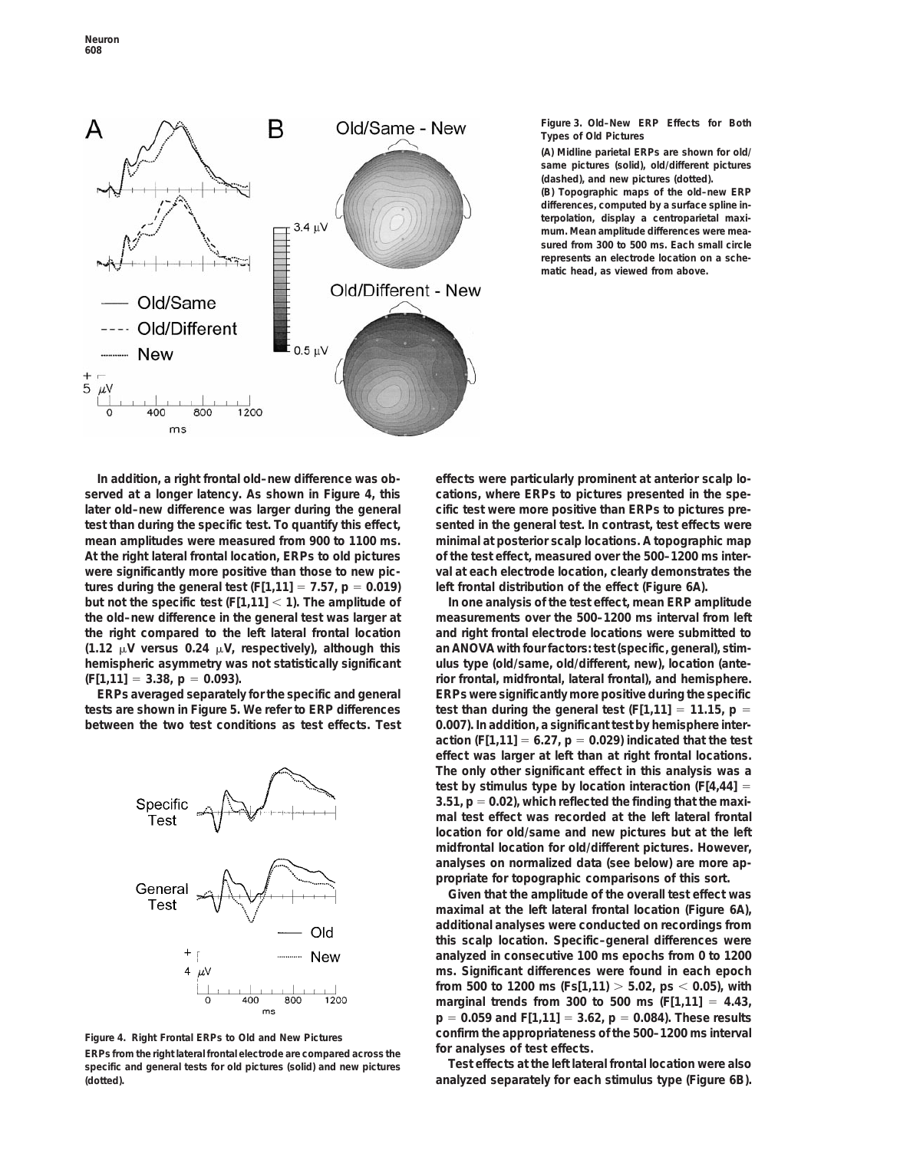

**Figure 3. Old–New ERP Effects for Both Types of Old Pictures**

**(A) Midline parietal ERPs are shown for old/ same pictures (solid), old/different pictures (dashed), and new pictures (dotted).**

**(B) Topographic maps of the old–new ERP differences, computed by a surface spline interpolation, display a centroparietal maximum. Mean amplitude differences were measured from 300 to 500 ms. Each small circle represents an electrode location on a schematic head, as viewed from above.**

**In addition, a right frontal old–new difference was ob- effects were particularly prominent at anterior scalp loserved at a longer latency. As shown in Figure 4, this cations, where ERPs to pictures presented in the spe**later old–new difference was larger during the general cific test were more positive than ERPs to pictures pre**test than during the specific test. To quantify this effect, sented in the general test. In contrast, test effects were mean amplitudes were measured from 900 to 1100 ms. minimal at posterior scalp locations. A topographic map At the right lateral frontal location, ERPs to old pictures of the test effect, measured over the 500–1200 ms interwere significantly more positive than those to new pic- val at each electrode location, clearly demonstrates the** tures during the general test (F[1,11] = 7.57, p = 0.019) left frontal distribution of the effect (Figure 6A). but not the specific test (F[1,11] < 1). The amplitude of In one analysis of the test effect, mean ERP amplitude **the old–new difference in the general test was larger at measurements over the 500–1200 ms interval from left the right compared to the left lateral frontal location and right frontal electrode locations were submitted to (1.12** m**V versus 0.24** m**V, respectively), although this an ANOVA with four factors: test (specific, general), stimhemispheric asymmetry was not statistically significant ulus type (old/same, old/different, new), location (ante-**

tests are shown in Figure 5. We refer to ERP differences test than during the general test (F[1,11] = 11.15,  $p =$ between the two test conditions as test effects. Test 0.007). In addition, a significant test by hemisphere inter-



**for analyses of test effects. ERPs from the right lateral frontal electrode are compared across the** specific and general tests for old pictures (solid) and new pictures

**(F[1,11]** 5 **3.38, p** 5 **0.093). rior frontal, midfrontal, lateral frontal), and hemisphere. ERPs averaged separately for the specific and general ERPs were significantly more positive during the specific action (F[1,11]** = 6.27,  $p = 0.029$ ) indicated that the test **effect was larger at left than at right frontal locations. The only other significant effect in this analysis was a** test by stimulus type by location interaction  $(F[4,44] =$ **3.51, p** 5 **0.02), which reflected the finding that the maximal test effect was recorded at the left lateral frontal location for old/same and new pictures but at the left midfrontal location for old/different pictures. However, analyses on normalized data (see below) are more appropriate for topographic comparisons of this sort.**

**Given that the amplitude of the overall test effect was maximal at the left lateral frontal location (Figure 6A), additional analyses were conducted on recordings from this scalp location. Specific–general differences were analyzed in consecutive 100 ms epochs from 0 to 1200 ms. Significant differences were found in each epoch from 500 to 1200 ms (Fs[1,11)** . **5.02, ps** , **0.05), with marginal trends from 300 to 500 ms**  $(F[1, 11] = 4.43)$  $p = 0.059$  and  $F[1,11] = 3.62$ ,  $p = 0.084$ ). These results **Figure 4. Right Frontal ERPs to Old and New Pictures Figure 4. Right Frontal ERPs to Old and New Pictures For analyses of test effects.** 

**(dotted). analyzed separately for each stimulus type (Figure 6B).**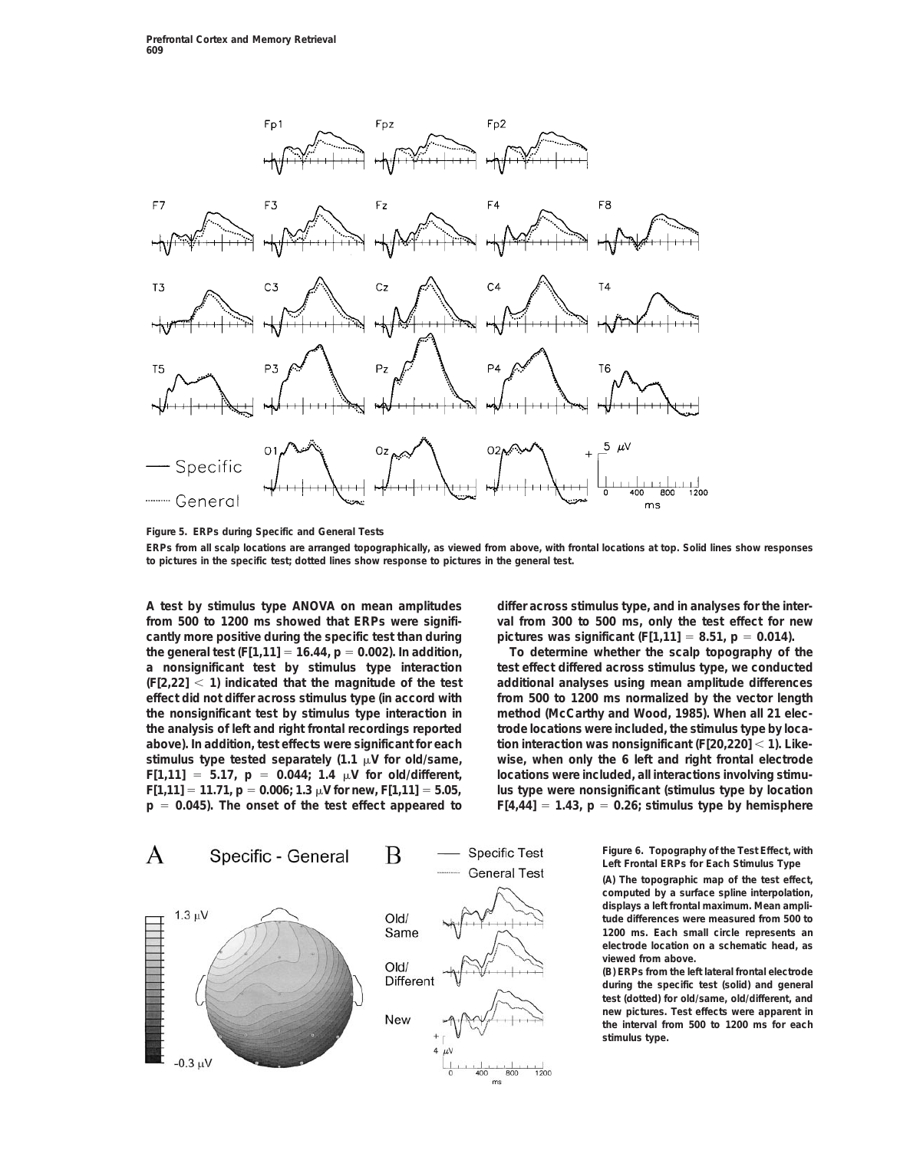

**Figure 5. ERPs during Specific and General Tests**

**ERPs from all scalp locations are arranged topographically, as viewed from above, with frontal locations at top. Solid lines show responses to pictures in the specific test; dotted lines show response to pictures in the general test.**

**A test by stimulus type ANOVA on mean amplitudes differ across stimulus type, and in analyses for the interfrom 500 to 1200 ms showed that ERPs were signifi- val from 300 to 500 ms, only the test effect for new** cantly more positive during the specific test than during pictures was significant  $(F[1,11] = 8.51, p = 0.014)$ . **the general test (F[1,11]** 5 **16.44, p** 5 **0.002). In addition, To determine whether the scalp topography of the a nonsignificant test by stimulus type interaction test effect differed across stimulus type, we conducted (F[2,22]** , **1) indicated that the magnitude of the test additional analyses using mean amplitude differences effect did not differ across stimulus type (in accord with from 500 to 1200 ms normalized by the vector length the nonsignificant test by stimulus type interaction in method (McCarthy and Wood, 1985). When all 21 electhe analysis of left and right frontal recordings reported trode locations were included, the stimulus type by locaabove). In addition, test effects were significant for each tion interaction was nonsignificant (F[20,220]** , **1). Likestimulus type tested separately (1.1** m**V for old/same, wise, when only the 6 left and right frontal electrode**  $F[1,11] = 5.17$ ,  $p = 0.044$ ; 1.4  $\mu$ V for old/different, locations were included, all interactions involving stimu- $F[1,11] = 11.71$ ,  $p = 0.006$ ; 1.3  $\mu$ V for new,  $F[1,11] = 5.05$ , lus type were nonsignificant (stimulus type by location



 $p = 0.045$ . The onset of the test effect appeared to  $F[4,44] = 1.43$ ,  $p = 0.26$ ; stimulus type by hemisphere

**Figure 6. Topography of the Test Effect, with Left Frontal ERPs for Each Stimulus Type**

**(A) The topographic map of the test effect, computed by a surface spline interpolation, displays a left frontal maximum. Mean amplitude differences were measured from 500 to 1200 ms. Each small circle represents an electrode location on a schematic head, as viewed from above.**

**(B) ERPs from the left lateral frontal electrode during the specific test (solid) and general test (dotted) for old/same, old/different, and new pictures. Test effects were apparent in the interval from 500 to 1200 ms for each stimulus type.**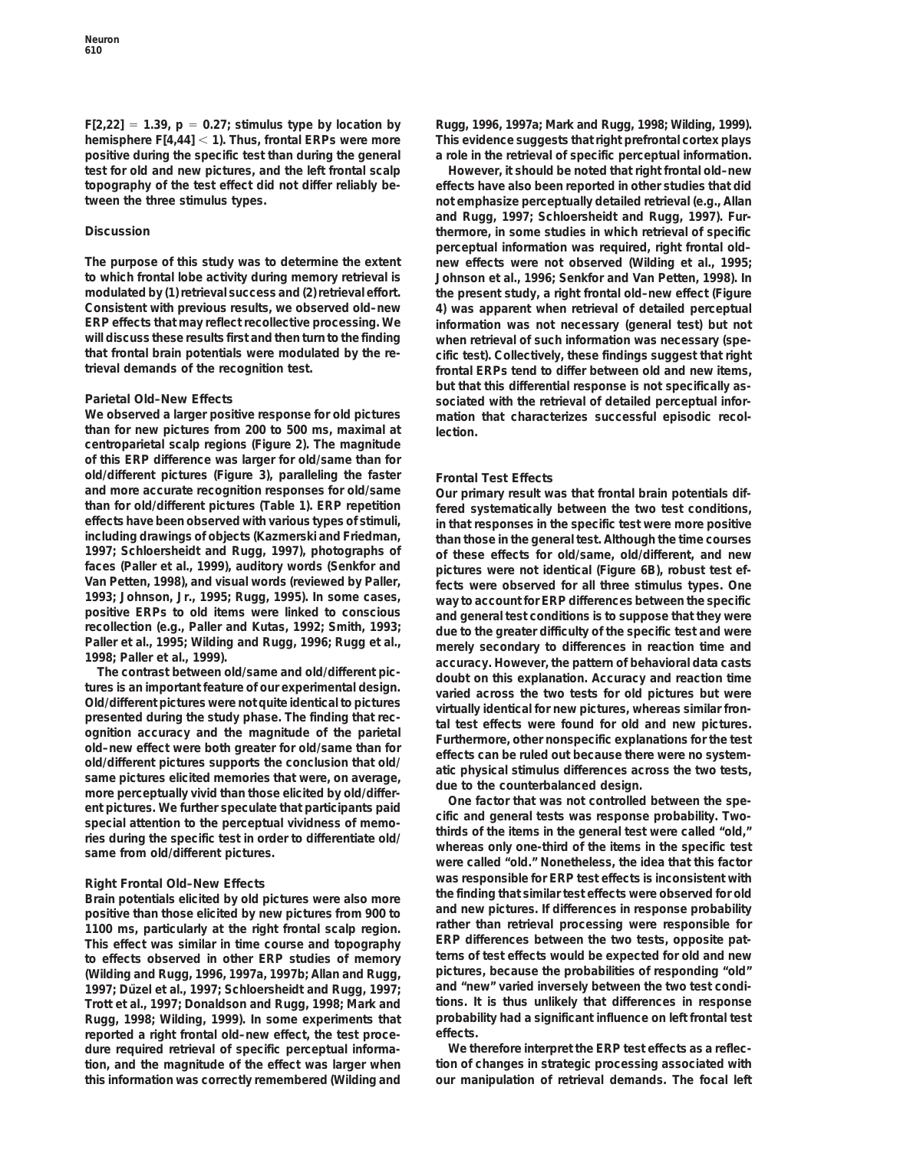**F[2,22]** 5 **1.39, p** 5 **0.27; stimulus type by location by Rugg, 1996, 1997a; Mark and Rugg, 1998; Wilding, 1999). hemisphere F[4,44]** , **1). Thus, frontal ERPs were more This evidence suggests that right prefrontal cortex plays positive during the specific test than during the general a role in the retrieval of specific perceptual information. test for old and new pictures, and the left frontal scalp However, it should be noted that right frontal old–new topography of the test effect did not differ reliably be- effects have also been reported in other studies that did tween the three stimulus types. not emphasize perceptually detailed retrieval (e.g., Allan**

**The purpose of this study was to determine the extent new effects were not observed (Wilding et al., 1995; to which frontal lobe activity during memory retrieval is Johnson et al., 1996; Senkfor and Van Petten, 1998). In modulated by (1) retrieval success and (2) retrieval effort. the present study, a right frontal old–new effect (Figure Consistent with previous results, we observed old–new 4) was apparent when retrieval of detailed perceptual will discuss these results first and then turn to the finding when retrieval of such information was necessary (spethat frontal brain potentials were modulated by the re- cific test). Collectively, these findings suggest that right trieval demands of the recognition test. frontal ERPs tend to differ between old and new items,**

**than for new pictures from 200 to 500 ms, maximal at lection. centroparietal scalp regions (Figure 2). The magnitude of this ERP difference was larger for old/same than for old/different pictures (Figure 3), paralleling the faster Frontal Test Effects** and more accurate recognition responses for old/same and more accurate recognition responses for old/same<br>than for old/different pictures (Table 1). ERP repetition<br>effects have been observed with various types of stimuli, in that responses in the specific test were more posi effects have been observed with various types of stimuli,<br>
in that responses in the specific test were more positive<br>
including drawings of objects (Kazmerski and Friedman,<br>
1997; Schloersheidt and Rugg, 1997), photographs

This effect was similar in time course and topography<br>to effects observed in other ERP studies of memory<br>(Wilding and Rugg, 1997a, 1997b: Allan and Rugg, pictures, because the probabilities of responding "old") **pictures, because the probabilities of responding "old" (Wilding and Rugg, 1996, 1997a, 1997b; Allan and Rugg, 1997; Duzel et al., 1997; Schloersheidt and Rugg, 1997; and "new" varied inversely between the two test condi-Trott et al., 1997; Donaldson and Rugg, 1998; Mark and tions. It is thus unlikely that differences in response Rugg, 1998; Wilding, 1999). In some experiments that probability had a significant influence on left frontal test reported a right frontal old–new effect, the test proce- effects. dure required retrieval of specific perceptual informa- We therefore interpret the ERP test effects as a reflection, and the magnitude of the effect was larger when tion of changes in strategic processing associated with this information was correctly remembered (Wilding and our manipulation of retrieval demands. The focal left**

**and Rugg, 1997; Schloersheidt and Rugg, 1997). Fur-Discussion thermore, in some studies in which retrieval of specific perceptual information was required, right frontal old– ERP effects that may reflect recollective processing. We information was not necessary (general test) but not but that this differential response is not specifically as-Parietal Old–New Effects**<br>We observed a larger positive response for old pictures and information that characterizes successful episodic recol-<br>mation that characterizes successful episodic recol**mation that characterizes successful episodic recol-**

Taces (Paller et al., 1999), anditory words (Senkfor and<br>
Yan Petten, 1998), and visual words (reviewed by Paller<br>
Yan Petten (Figure 6B), robust test ef-<br>
Yan Petten (1990, and visual words (reviewed by Paller<br>
Sign, 1995

Right Frontal Old-New Effects<br>
Brain potentials elicited by old pictures were also more<br>
positive than those elicited by new pictures from 900 to<br>
1100 ms, particularly at the right frontal scalp region.<br>
This effect was s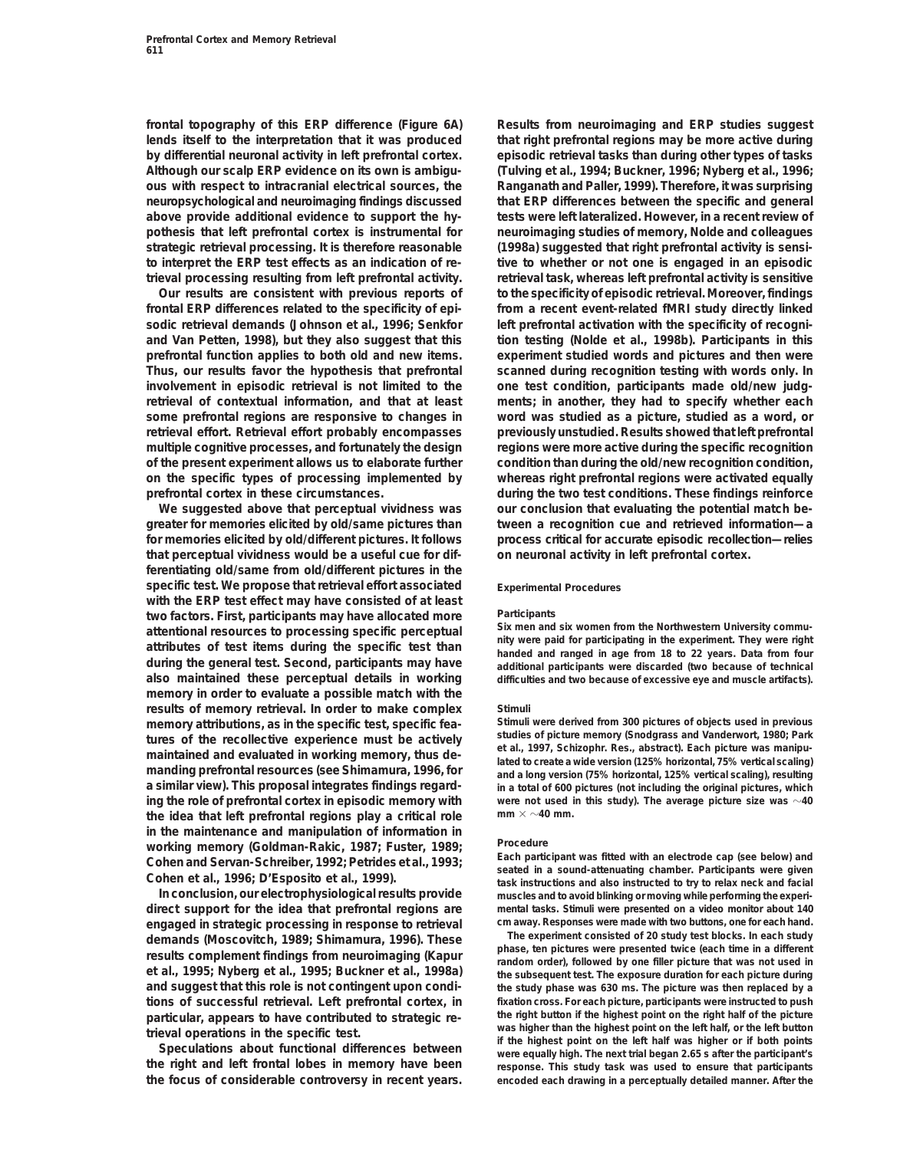**frontal topography of this ERP difference (Figure 6A) Results from neuroimaging and ERP studies suggest lends itself to the interpretation that it was produced that right prefrontal regions may be more active during by differential neuronal activity in left prefrontal cortex. episodic retrieval tasks than during other types of tasks Although our scalp ERP evidence on its own is ambigu- (Tulving et al., 1994; Buckner, 1996; Nyberg et al., 1996; ous with respect to intracranial electrical sources, the Ranganath and Paller, 1999). Therefore, it was surprising neuropsychological and neuroimaging findings discussed that ERP differences between the specific and general above provide additional evidence to support the hy- tests were left lateralized. However, in a recent review of pothesis that left prefrontal cortex is instrumental for neuroimaging studies of memory, Nolde and colleagues strategic retrieval processing. It is therefore reasonable (1998a) suggested that right prefrontal activity is sensito interpret the ERP test effects as an indication of re- tive to whether or not one is engaged in an episodic trieval processing resulting from left prefrontal activity. retrieval task, whereas left prefrontal activity is sensitive**

**frontal ERP differences related to the specificity of epi- from a recent event-related fMRI study directly linked sodic retrieval demands (Johnson et al., 1996; Senkfor left prefrontal activation with the specificity of recogniand Van Petten, 1998), but they also suggest that this tion testing (Nolde et al., 1998b). Participants in this prefrontal function applies to both old and new items. experiment studied words and pictures and then were Thus, our results favor the hypothesis that prefrontal scanned during recognition testing with words only. In involvement in episodic retrieval is not limited to the one test condition, participants made old/new judgretrieval of contextual information, and that at least ments; in another, they had to specify whether each some prefrontal regions are responsive to changes in word was studied as a picture, studied as a word, or retrieval effort. Retrieval effort probably encompasses previously unstudied. Results showed that left prefrontal multiple cognitive processes, and fortunately the design regions were more active during the specific recognition of the present experiment allows us to elaborate further condition than during the old/new recognition condition, on the specific types of processing implemented by whereas right prefrontal regions were activated equally prefrontal cortex in these circumstances. during the two test conditions. These findings reinforce**

**greater for memories elicited by old/same pictures than tween a recognition cue and retrieved information—a for memories elicited by old/different pictures. It follows process critical for accurate episodic recollection—relies that perceptual vividness would be a useful cue for dif- on neuronal activity in left prefrontal cortex. ferentiating old/same from old/different pictures in the specific test. We propose that retrieval effort associated Experimental Procedures with the ERP test effect may have consisted of at least** two factors. First, participants may have allocated more<br>attentional resources to processing specific perceptual<br>attributes of test items during the specific test than<br>during the general test. Second, participants may have **also maintained these perceptual details in working difficulties and two because of excessive eye and muscle artifacts). memory in order to evaluate a possible match with the results of memory retrieval. In order to make complex Stimuli memory attributions, as in the specific test, specific fea- Stimuli were derived from 300 pictures of objects used in previous** tures of the recollective experience must be actively<br>maintained and evaluated in working memory, thus de-<br>manding prefrontal resources (see Shimamura, 1996, for<br>and a long version (75% horizontal, 125% rertical scaling), **ing the role of prefrontal cortex in episodic memory with** were not used in this study). The average picture size was  $\sim$ 40 the idea that left prefrontal regions play a critical role  $mm \times \sim 40$  mm. **in the maintenance and manipulation of information in working memory (Goldman-Rakic, 1987; Fuster, 1989; Procedure**

**direct support for the idea that prefrontal regions are mental tasks. Stimuli were presented on a video monitor about 140 engaged in strategic processing in response to retrieval cm away. Responses were made with two buttons, one for each hand.** demands (Moscovitch, 1989; Shimamura, 1996). These The experiment consisted of 20 study test blocks. In each study<br>results complement findings from neuroimaging (Kapur<br>et al., 1995; Nyberg et al., 1995; Buckner et al., 199 **and suggest that this role is not contingent upon condi- the study phase was 630 ms. The picture was then replaced by a tions of successful retrieval. Left prefrontal cortex, in fixation cross. For each picture, participants were instructed to push**<br>**particular** appears to have contributed to strategic resection if the highest point on t

**the right and left frontal lobes in memory have been response. This study task was used to ensure that participants the focus of considerable controversy in recent years. encoded each drawing in a perceptually detailed manner. After the**

**Our results are consistent with previous reports of to the specificity of episodic retrieval. Moreover, findings We suggested above that perceptual vividness was our conclusion that evaluating the potential match be-**

**a similar view). This proposal integrates findings regard- in a total of 600 pictures (not including the original pictures, which**

Cohen and Servan-Schreiber, 1992; Petrides et al., 1993;<br>Cohen et al., 1996; D'Esposito et al., 1999).<br>In conclusion, our electrophysiological results provide<br>In conclusion, our electrophysiological results provide<br>In sche muscles and to avoid blinking or moving while performing the experi-

particular, appears to have contributed to strategic re-<br>trieval operations in the specific test.<br>Speculations about functional differences between<br>Speculations about functional differences between<br>of the highest point on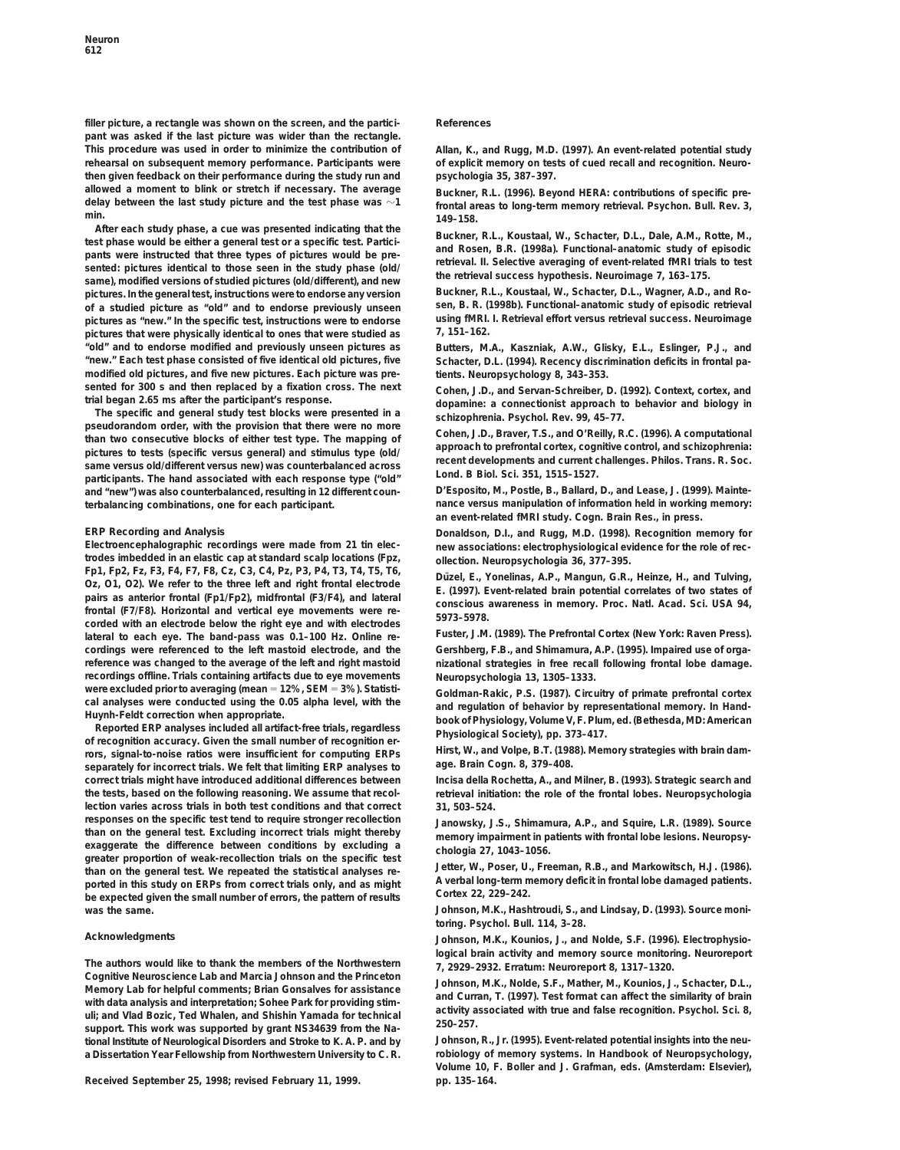**filler picture, a rectangle was shown on the screen, and the partici- References pant was asked if the last picture was wider than the rectangle. This procedure was used in order to minimize the contribution of Allan, K., and Rugg, M.D. (1997). An event-related potential study rehearsal on subsequent memory performance. Participants were of explicit memory on tests of cued recall and recognition. Neurothen given feedback on their performance during the study run and psychologia** *35***, 387–397.**

Fire each study phase, a cue was presented indicaling that the<br>test phase would be either a general test or a specific test. Partici-<br>pants were instructed that three types of pictures would be pre-<br>sented: pictures identi **pictures. In the general test, instructions were to endorse any version Buckner, R.L., Koustaal, W., Schacter, D.L., Wagner, A.D., and Roof a studied picture as "old" and to endorse previously unseen sen, B. R. (1998b). Functional–anatomic study of episodic retrieval pictures as "new." In the specific test, instructions were to endorse using fMRI.**<br> **pictures that were physically identical to ones that were studied as**  $\overline{a}$ **, 151–162. pictures that were physically identical to ones that were studied as** *7***, 151–162. "old" and to endorse modified and previously unseen pictures as Butters, M.A., Kaszniak, A.W., Glisky, E.L., Eslinger, P.J., and modified old pictures, and five new pictures. Each picture was pre- tients. Neuropsychology** *8***, 343–353.**

pseudorandom order, with the provision that there were no more<br>
than two consecutive blocks of either test type. The mapping of<br>
pictures to tests (specific versus general) and stimulus type (old/<br>
same versus old/differen **and "new") was also counterbalanced, resulting in 12 different coun- D'Esposito, M., Postle, B., Ballard, D., and Lease, J. (1999). Mainte-**

**trodes imbedded in an elastic cap at standard scalp locations (Fpz, ollection. Neuropsychologia** *36***, 377–395.** Fp1, Fp2, Fz, F3, F4, F7, F8, Cz, C3, C4, Pz, P3, P4, T3, T4, T5, T6,<br>
Ozzel, E., Yonelinas, A.P., Mangun, G.R., Heinze, H., and Tulving,<br>
Dazel, E., Yonelinas, A.P., Mangun, G.R., Heinze, H., and Tulving,<br>
for the three l **cordings were referenced to the left mastoid electrode, and the Gershberg, F.B., and Shimamura, A.P. (1995). Impaired use of orgareference was changed to the average of the left and right mastoid nizational strategies in free recall following frontal lobe damage. recordings offline. Trials containing artifacts due to eye movements Neuropsychologia** *13***, 1305–1333.**

**correct trials might have introduced additional differences between Incisa della Rochetta, A., and Milner, B. (1993). Strategic search and the tests, based on the following reasoning. We assume that recol- retrieval initiation: the role of the frontal lobes. Neuropsychologia lection varies across trials in both test conditions and that correct** *31***, 503–524.** responses on the specific test tend to require stronger recollection<br>than on the general test. Excluding incorrect trials might thereby<br>exaggerate the difference between conditions by excluding a<br>greater proportion of weak

Memory Lab for helpful comments; Brian Gonsalves for assistance<br>
with data analysis and interpretation; Sohee Park for providing stime<br>
uli; and Vlad Bozic, Ted Whalen, and Shishin Yamada for technical<br>
uli; and Vlad Bozic **250–257. support. This work was supported by grant NS34639 from the National Institute of Neurological Disorders and Stroke to K. A. P. and by Johnson, R., Jr. (1995). Event-related potential insights into the neu-**

**Received September 25, 1998; revised February 11, 1999. pp. 135–164.**

allowed a moment to blink or stretch if necessary. The average<br>delay between the last study picture and the test phase was  $\sim$ 1<br>min.<br>After each study phase, a cue was presented indicating that the<br>After each study phase,

Schacter, D.L. (1994). Recency discrimination deficits in frontal pa-

sented for 300 s and then replaced by a fixation cross. The next<br>trial began 2.65 ms after the participant's response.<br>The specific and general study test blocks were presented in a<br>pseudorandom order, with the provision t

**terbalancing combinations, one for each participant. nance versus manipulation of information held in working memory: an event-related fMRI study. Cogn. Brain Res., in press.**

**ERP Recording and Analysis Donaldson, D.I., and Rugg, M.D. (1998). Recognition memory for <b>Electroencephalographic recordings** were made from 21 tin elec-<br> **Donaldson, D.I., and Rugg, M.D. (1998). Recognition memory for** new associations: electrophysiological evidence for the role of rec-

were excluded prior to averaging (mean = 12%, SEM = 3%). Statistical analyses were conducted using the 0.05 alpha level, with the<br>
Huynh-Feldt correction when appropriate.<br>
Huynh-Feldt correction when appropriate.<br>
Reporte

**was the same. Johnson, M.K., Hashtroudi, S., and Lindsay, D. (1993). Source monitoring. Psychol. Bull.** *114***, 3–28.**

**Acknowledgments Johnson, M.K., Kounios, J., and Nolde, S.F. (1996). Electrophysiological brain activity and memory source monitoring. Neuroreport The authors would like to thank the members of the Northwestern** *<sup>7</sup>***, 2929–2932. Erratum: Neuroreport** *<sup>8</sup>***, 1317–1320.**

**a Dissertation Year Fellowship from Northwestern University to C. R. robiology of memory systems. In Handbook of Neuropsychology, Volume 10, F. Boller and J. Grafman, eds. (Amsterdam: Elsevier),**